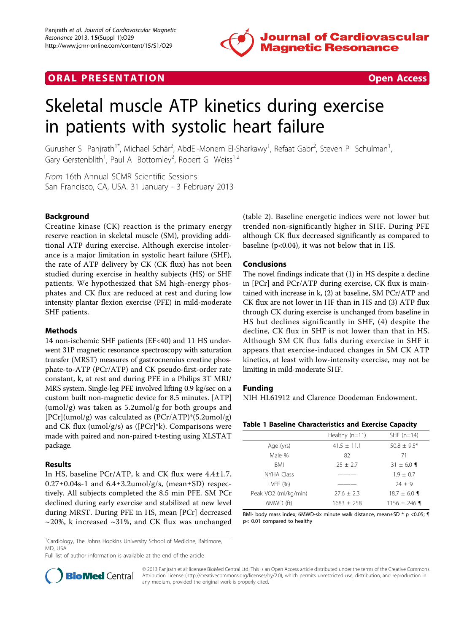

# **ORAL PRESENTATION CONSUMING ACCESS**



# Skeletal muscle ATP kinetics during exercise in patients with systolic heart failure

Gurusher S Panjrath<sup>1\*</sup>, Michael Schär<sup>2</sup>, AbdEl-Monem El-Sharkawy<sup>1</sup>, Refaat Gabr<sup>2</sup>, Steven P Schulman<sup>1</sup> , Gary Gerstenblith<sup>1</sup>, Paul A Bottomley<sup>2</sup>, Robert G Weiss<sup>1,2</sup>

From 16th Annual SCMR Scientific Sessions San Francisco, CA, USA. 31 January - 3 February 2013

# Background

Creatine kinase (CK) reaction is the primary energy reserve reaction in skeletal muscle (SM), providing additional ATP during exercise. Although exercise intolerance is a major limitation in systolic heart failure (SHF), the rate of ATP delivery by CK (CK flux) has not been studied during exercise in healthy subjects (HS) or SHF patients. We hypothesized that SM high-energy phosphates and CK flux are reduced at rest and during low intensity plantar flexion exercise (PFE) in mild-moderate SHF patients.

# Methods

14 non-ischemic SHF patients (EF<40) and 11 HS underwent 31P magnetic resonance spectroscopy with saturation transfer (MRST) measures of gastrocnemius creatine phosphate-to-ATP (PCr/ATP) and CK pseudo-first-order rate constant, k, at rest and during PFE in a Philips 3T MRI/ MRS system. Single-leg PFE involved lifting 0.9 kg/sec on a custom built non-magnetic device for 8.5 minutes. [ATP] (umol/g) was taken as 5.2umol/g for both groups and [PCr](umol/g) was calculated as (PCr/ATP)\*(5.2umol/g) and CK flux (umol/g/s) as ([PCr]\*k). Comparisons were made with paired and non-paired t-testing using XLSTAT package.

# Results

In HS, baseline PCr/ATP, k and CK flux were 4.4±1.7,  $0.27\pm0.04$ s-1 and  $6.4\pm3.2$ umol/g/s, (mean $\pm$ SD) respectively. All subjects completed the 8.5 min PFE. SM PCr declined during early exercise and stabilized at new level during MRST. During PFE in HS, mean [PCr] decreased  $\sim$ 20%, k increased  $\sim$ 31%, and CK flux was unchanged

<sup>1</sup>Cardiology, The Johns Hopkins University School of Medicine, Baltimore, MD, USA

Full list of author information is available at the end of the article



© 2013 Panjrath et al; licensee BioMed Central Ltd. This is an Open Access article distributed under the terms of the Creative Commons Attribution License [\(http://creativecommons.org/licenses/by/2.0](http://creativecommons.org/licenses/by/2.0)), which permits unrestricted use, distribution, and reproduction in any medium, provided the original work is properly cited.

(table [2\)](#page-1-0). Baseline energetic indices were not lower but trended non-significantly higher in SHF. During PFE although CK flux decreased significantly as compared to baseline (p<0.04), it was not below that in HS.

# Conclusions

The novel findings indicate that (1) in HS despite a decline in [PCr] and PCr/ATP during exercise, CK flux is maintained with increase in k, (2) at baseline, SM PCr/ATP and CK flux are not lower in HF than in HS and (3) ATP flux through CK during exercise is unchanged from baseline in HS but declines significantly in SHF, (4) despite the decline, CK flux in SHF is not lower than that in HS. Although SM CK flux falls during exercise in SHF it appears that exercise-induced changes in SM CK ATP kinetics, at least with low-intensity exercise, may not be limiting in mild-moderate SHF.

# Funding

NIH HL61912 and Clarence Doodeman Endowment.

#### Table 1 Baseline Characteristics and Exercise Capacity

|                      | Healthy $(n=11)$ | SHF $(n=14)$     |
|----------------------|------------------|------------------|
| Age (yrs)            | $41.5 \pm 11.1$  | $50.8 \pm 9.5^*$ |
| Male %               | 82               | 71               |
| <b>BMI</b>           | $25 + 2.7$       | 31 $\pm$ 6.0 ¶   |
| NYHA Class           |                  | $1.9 + 0.7$      |
| LVEF (%)             |                  | $74 + 9$         |
| Peak VO2 (ml/kg/min) | $27.6 + 2.3$     | $18.7 \pm 6.0$ ¶ |
| 6MWD (ft)            | $1683 + 258$     | 1156 ± 246 ¶     |

BMI- body mass index; 6MWD-six minute walk distance, mean±SD \* p <0.05; ¶ p< 0.01 compared to healthy